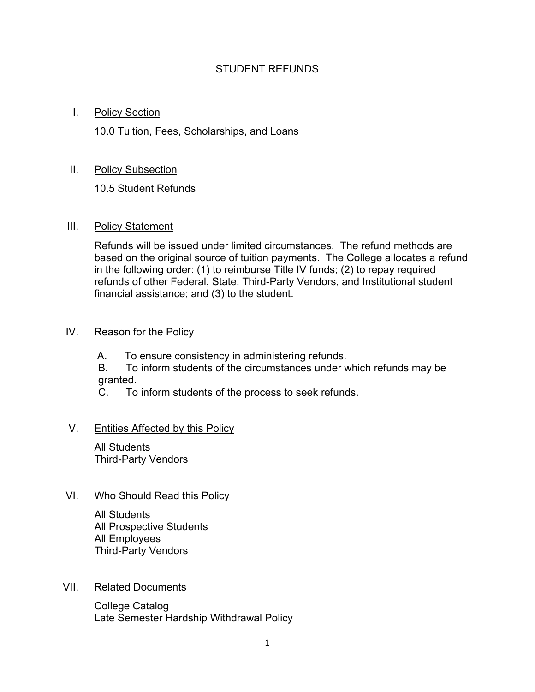## STUDENT REFUNDS

## I. Policy Section

10.0 Tuition, Fees, Scholarships, and Loans

# II. Policy Subsection

10.5 Student Refunds

## III. Policy Statement

Refunds will be issued under limited circumstances. The refund methods are based on the original source of tuition payments. The College allocates a refund in the following order: (1) to reimburse Title IV funds; (2) to repay required refunds of other Federal, State, Third-Party Vendors, and Institutional student financial assistance; and (3) to the student.

## IV. Reason for the Policy

A. To ensure consistency in administering refunds.

B. To inform students of the circumstances under which refunds may be granted.<br>C. To

To inform students of the process to seek refunds.

# V. Entities Affected by this Policy

All Students Third-Party Vendors

## VI. Who Should Read this Policy

All Students All Prospective Students All Employees Third-Party Vendors

## VII. Related Documents

College Catalog Late Semester Hardship Withdrawal Policy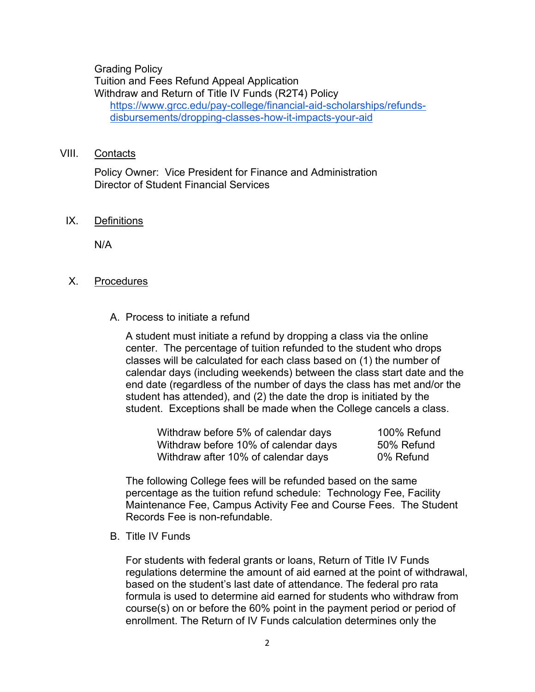Grading Policy Tuition and Fees Refund Appeal Application Withdraw and Return of Title IV Funds (R2T4) Policy [https://www.grcc.edu/pay-college/financial-aid-scholarships/refunds](https://www.grcc.edu/pay-college/financial-aid-scholarships/refunds-disbursements/dropping-classes-how-it-impacts-your-aid)[disbursements/dropping-classes-how-it-impacts-your-aid](https://www.grcc.edu/pay-college/financial-aid-scholarships/refunds-disbursements/dropping-classes-how-it-impacts-your-aid)

#### VIII. Contacts

Policy Owner: Vice President for Finance and Administration Director of Student Financial Services

#### IX. Definitions

N/A

#### X. Procedures

A. Process to initiate a refund

A student must initiate a refund by dropping a class via the online center. The percentage of tuition refunded to the student who drops classes will be calculated for each class based on (1) the number of calendar days (including weekends) between the class start date and the end date (regardless of the number of days the class has met and/or the student has attended), and (2) the date the drop is initiated by the student. Exceptions shall be made when the College cancels a class.

| Withdraw before 5% of calendar days  | 100% Refund |
|--------------------------------------|-------------|
| Withdraw before 10% of calendar days | 50% Refund  |
| Withdraw after 10% of calendar days  | 0% Refund   |

The following College fees will be refunded based on the same percentage as the tuition refund schedule: Technology Fee, Facility Maintenance Fee, Campus Activity Fee and Course Fees. The Student Records Fee is non-refundable.

B. Title IV Funds

For students with federal grants or loans, Return of Title IV Funds regulations determine the amount of aid earned at the point of withdrawal, based on the student's last date of attendance. The federal pro rata formula is used to determine aid earned for students who withdraw from course(s) on or before the 60% point in the payment period or period of enrollment. The Return of IV Funds calculation determines only the